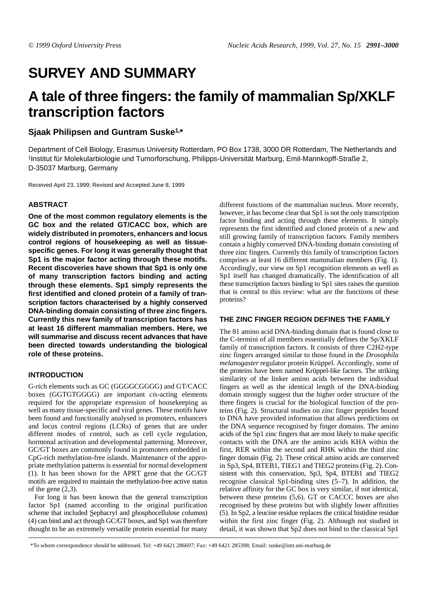# **SURVEY AND SUMMARY**

## **A tale of three fingers: the family of mammalian Sp/XKLF transcription factors**

## **Sjaak Philipsen and Guntram Susk[e1](#page-0-0),\***

<span id="page-0-0"></span>Department of Cell Biology, Erasmus University Rotterdam, PO Box 1738, 3000 DR Rotterdam, The Netherlands and 1Institut für Molekularbiologie und Tumorforschung, Philipps-Universität Marburg, Emil-Mannkopff-Straße 2, D-35037 Marburg, Germany

Received April 23, 1999; Revised and Accepted June 8, 1999

## **ABSTRACT**

**One of the most common regulatory elements is the GC box and the related GT/CACC box, which are widely distributed in promoters, enhancers and locus control regions of housekeeping as well as tissuespecific genes. For long it was generally thought that Sp1 is the major factor acting through these motifs. Recent discoveries have shown that Sp1 is only one of many transcription factors binding and acting through these elements. Sp1 simply represents the first identified and cloned protein of a family of transcription factors characterised by a highly conserved DNA-binding domain consisting of three zinc fingers. Currently this new family of transcription factors has at least 16 different mammalian members. Here, we will summarise and discuss recent advances that have been directed towards understanding the biological role of these proteins.**

## **INTRODUCTION**

G-rich elements such as GC (GGGGCGGGG) and GT/CACC boxes (GGTGTGGGG) are important *cis*-acting elements required for the appropriate expression of housekeeping as well as many tissue-specific and viral genes. These motifs have been found and functionally analysed in promoters, enhancers and locus control regions (LCRs) of genes that are under different modes of control, such as cell cycle regulation, hormonal activation and developmental patterning. Moreover, GC/GT boxes are commonly found in promoters embedded in CpG-rich methylation-free islands. Maintenance of the appropriate methylation patterns is essential for normal development ([1\)](#page-6-0). It has been shown for the APRT gene that the GC/GT motifs are required to maintain the methylation-free active status of the gene ([2,](#page-6-1)[3](#page-6-2)).

For long it has been known that the general transcription factor Sp1 (named according to the original purification scheme that included Sephacryl and phosphocellulose columns) ([4\)](#page-6-3) can bind and act through GC/GT boxes, and Sp1 was therefore thought to be an extremely versatile protein essential for many

different functions of the mammalian nucleus. More recently, however, it has become clear that Sp1 is not the only transcription factor binding and acting through these elements. It simply represents the first identified and cloned protein of a new and still growing family of transcription factors. Family members contain a highly conserved DNA-binding domain consisting of three zinc fingers. Currently this family of transcription factors comprises at least 16 different mammalian members (Fig. [1\)](#page-1-0). Accordingly, our view on Sp1 recognition elements as well as Sp1 itself has changed dramatically. The identification of all these transcription factors binding to Sp1 sites raises the question that is central to this review: what are the functions of these proteins?

## **THE ZINC FINGER REGION DEFINES THE FAMILY**

The 81 amino acid DNA-binding domain that is found close to the C-termini of all members essentially defines the Sp/XKLF family of transcription factors. It consists of three C2H2-type zinc fingers arranged similar to those found in the *Drosophila melanogaster* regulator protein Krüppel. Accordingly, some of the proteins have been named Krüppel-like factors. The striking similarity of the linker amino acids between the individual fingers as well as the identical length of the DNA-binding domain strongly suggest that the higher order structure of the three fingers is crucial for the biological function of the proteins (Fig. [2](#page-1-0)). Structural studies on zinc finger peptides bound to DNA have provided information that allows predictions on the DNA sequence recognised by finger domains. The amino acids of the Sp1 zinc fingers that are most likely to make specific contacts with the DNA are the amino acids KHA within the first, RER within the second and RHK within the third zinc finger domain (Fig. [2](#page-1-0)). These critical amino acids are conserved in Sp3, Sp4, BTEB1, TIEG1 and TIEG2 proteins (Fig. [2](#page-1-0)). Consistent with this conservation, Sp3, Sp4, BTEB1 and TIEG2 recognise classical Sp1-binding sites ([5–](#page-6-4)[7\)](#page-6-5). In addition, the relative affinity for the GC box is very similar, if not identical, between these proteins ([5](#page-6-4)[,6](#page-6-6)). GT or CACCC boxes are also recognised by these proteins but with slightly lower affinities [\(5](#page-6-4)). In Sp2, a leucine residue replaces the critical histidine residue within the first zinc finger (Fig. [2](#page-1-0)). Although not studied in detail, it was shown that Sp2 does not bind to the classical Sp1

<sup>\*</sup>To whom correspondence should be addressed. Tel: +49 6421 286697; Fax: +49 6421 285398; Email: suske@imt.uni-marburg.de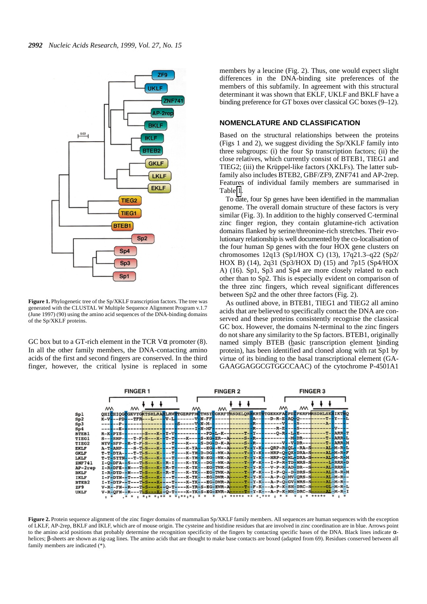<span id="page-1-0"></span>

**Figure 1.** Phylogenetic tree of the Sp/XKLF transcription factors. The tree was generated with the CLUSTAL W Multiple Sequence Alignment Program v.1.7 (June 1997) (90) using the amino acid sequences of the DNA-binding domains of the Sp/XKLF proteins.

GC box but to a GT-rich element in the TCR  $V\alpha$  promoter [\(8](#page-6-7)). In all the other family members, the DNA-contacting amino acids of the first and second fingers are conserved. In the third finger, however, the critical lysine is replaced in some

members by a leucine (Fig. [2\)](#page-1-0). Thus, one would expect slight differences in the DNA-binding site preferences of the members of this subfamily. In agreement with this structural determinant it was shown that EKLF, UKLF and BKLF have a binding preference for GT boxes over classical GC boxes [\(9](#page-6-8)[–12\)](#page-6-9).

#### **NOMENCLATURE AND CLASSIFICATION**

Based on the structural relationships between the proteins (Figs [1](#page-1-0) and [2](#page-1-0)), we suggest dividing the Sp/XKLF family into three subgroups: (i) the four Sp transcription factors; (ii) the close relatives, which currently consist of BTEB1, TIEG1 and TIEG2; (iii) the Krüppel-like factors (XKLFs). The latter subfamily also includes BTEB2, GBF/ZF9, ZNF741 and AP-2rep. Features of individual family members are summarised in Table [1](#page-2-0).

To date, four Sp genes have been identified in the mammalian genome. The overall domain structure of these factors is very similar (Fig. [3\)](#page-3-0). In addition to the highly conserved C-terminal zinc finger region, they contain glutamine-rich activation domains flanked by serine/threonine-rich stretches. Their evolutionary relationship is well documented by the co-localisation of the four human Sp genes with the four HOX gene clusters on chromosomes 12q13 (Sp1/HOX C) [\(13](#page-6-10)), 17q21.3–q22 (Sp2/ HOX B) ([14\)](#page-6-11), 2q31 (Sp3/HOX D) [\(15](#page-7-0)) and 7p15 (Sp4/HOX A) ([16\)](#page-7-1). Sp1, Sp3 and Sp4 are more closely related to each other than to Sp2. This is especially evident on comparison of the three zinc fingers, which reveal significant differences between Sp2 and the other three factors (Fig. [2](#page-1-0)).

As outlined above, in BTEB1, TIEG1 and TIEG2 all amino acids that are believed to specifically contact the DNA are conserved and these proteins consistently recognise the classical GC box. However, the domains N-terminal to the zinc fingers do not share any similarity to the Sp factors. BTEB1, originally named simply BTEB (basic transcription element binding protein), has been identified and cloned along with rat Sp1 by virtue of its binding to the basal transcriptional element (GA-GAAGGAGGCGTGGCCAAC) of the cytochrome P-4501A1



**Figure 2.** Protein sequence alignment of the zinc finger domains of mammalian Sp/XKLF family members. All sequences are human sequences with the exception of LKLF, AP-2rep, BKLF and IKLF, which are of mouse origin. The cysteine and histidine residues that are involved in zinc coordination are in blue. Arrows point to the amino acid positions that probably determine the recognition specificity of the fingers by contacting specific bases of the DNA. Black lines indicate αhelices; β-sheets are shown as zig-zag lines. The amino acids that are thought to make base contacts are boxed (adapted from 69). Residues conserved between all family members are indicated (\*).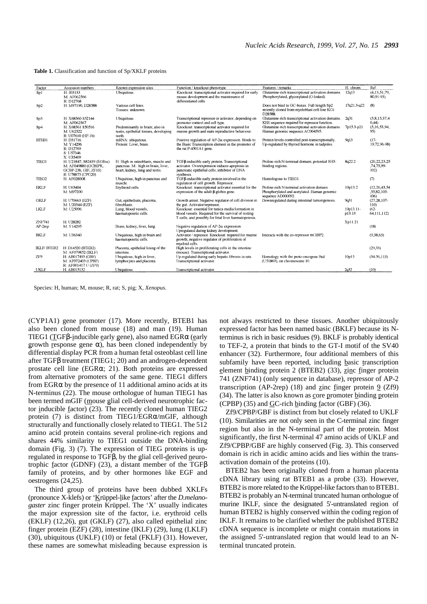| Factor            | Accession numbers                                                                                      | Known expression sites                                                                                       | Function / knockout phenotype                                                                                                                                     | Features / remarks                                                                                               | H. chrom.           | Ref.                                   |
|-------------------|--------------------------------------------------------------------------------------------------------|--------------------------------------------------------------------------------------------------------------|-------------------------------------------------------------------------------------------------------------------------------------------------------------------|------------------------------------------------------------------------------------------------------------------|---------------------|----------------------------------------|
| Sp1               | H: J03133<br>M: AF062566<br>R: D12768                                                                  | Ubiquitous.                                                                                                  | Knockout: transcriptional activator required for early<br>mouse development and the maintenance of<br>differentiated cells.                                       | Glutamine-rich transcriptional activation domains.<br>Phosphorylated, glycosylated (O-linked).                   | 12q13               | (4,13,51,79,<br>80,91-93)              |
| Sp <sub>2</sub>   | H: M97190, D28588                                                                                      | Various cell lines.<br>Tissues: unknown.                                                                     |                                                                                                                                                                   | Does not bind to GC-boxes. Full length Sp2<br>recently cloned from myeloblast cell line KG1<br>D28588            | 17q21.3-q22         | (8)                                    |
| Sp3               | H: X68560 S52144<br>M: AF062567                                                                        | Ubiquitous.                                                                                                  | Transcriptional repressor or activator, depending on<br>promoter context and cell type.                                                                           | Glutamine-rich transcriptional activation domains.<br>KEE sequence required for repressor function.              | 2q31                | (5,8,15,37,4)<br>0.44                  |
| Sp <sub>4</sub>   | H: X68561 S50516<br>M: U62522<br>R: U07610 (HF-1b)                                                     | Predominantly in brain; also in<br>testis, epithelial tissues, developing<br>teeth.                          | Knockout: transcriptional activator required for<br>murine growth and male reproductive behaviour.                                                                | Glutamine-rich transcriptional activation domains.<br>Human genomic sequence AC004595.                           | 7p15.3-p21          | (5,16,53,94,<br>95)                    |
| BTEB1             | H: D31716<br>M: Y14296<br>R: D12769<br>S: U57346<br>X: U35409                                          | mRNA: ubiquitous.<br>Protein: Liver, brain.                                                                  | Positive regulation of $AP-2\alpha$ expression. Binds to<br>the Basic Transcription element in the promoter of<br>the rat P-4501A1 gene.                          | Protein levels controlled post-transcriptionally.<br>Up-regulated by thyroid hormone in tadpoles.                | 9q13                | $(17-$<br>19,72,96-98)                 |
| TIEG1             | H: U21847; S82439 (EGR $\alpha$ )<br>M: AF049880 (GCBIPR,<br>GCBP-23b, GIF, ZF10)<br>R: U78875 (CPG20) | H: High in osteoblasts, muscle and<br>pancreas. M.: high in brain, liver,<br>heart, kidney, lung and testis. | TGFB-inducible early protein. Transcriptional<br>activator. Overexpression induces apoptosis in<br>pancreatic epithelial cells; inhibitor of DNA<br>synthesis.    | Proline-rich N-terminal domain; potential SH3-<br>binding regions.                                               | 8q22.2              | (20, 22, 23, 25)<br>,74,75,99-<br>102) |
| TIEG <sub>2</sub> | H: AF028008                                                                                            | Ubiquitous, high in pancreas and<br>muscle.                                                                  | TGFB-inducible early protein involved in the<br>regulation of cell growth. Repressor.                                                                             | Homologous to TIEG1.                                                                                             |                     | (7)                                    |
| <b>EKLF</b>       | H: U65404<br>M: M97200                                                                                 | Ervthroid cells.                                                                                             | Knockout: transcriptional activator essential for the<br>expression of the adult <b>B-globin gene</b> .                                                           | Proline-rich N-terminal activation domain.<br>Phosphorylated and acetylated. Human genomic<br>sequence AD000092. | 19p13.2             | (12, 26, 43, 54)<br>.55,82,103-<br>106 |
| <b>GKLF</b>       | H: U70663 (EZF)<br>M: U20344 (EZF)                                                                     | Gut, epithelium, placenta,<br>fibroblasts.                                                                   | Growth arrest. Negative regulator of cell division in<br>the gut. Activator/repressor.                                                                            | Downregulated during intestinal tumorigenesis.                                                                   | 9q31                | $(27, 28, 107 -$<br>110)               |
| <b>LKLF</b>       | M: U25096                                                                                              | Lung, blood vessels,<br>haematopoietic cells.                                                                | Knockout: essential for tunica media formation in<br>blood vessels. Required for the survival of resting<br>T-cells, and possibly for fetal liver haematopoiesis. |                                                                                                                  | 19p13.11-<br>p13.13 | $(62 -$<br>64,111,112)                 |
| ZNF741<br>AP-2rep | H: U28282<br>M: Y14295                                                                                 | Brain, kidney, liver, lung.                                                                                  | Negative regulation of $AP-2\alpha$ expression.<br>Upregulated during kidney development.                                                                         |                                                                                                                  | Xp11.21             | (18)                                   |
| <b>BKLF</b>       | M: U36340                                                                                              | Ubiquitous, high in brain and<br>haematopoietic cells.                                                       | Activator / repressor. Knockout: required for murine<br>growth; negative regulator of proliferation of<br>myeloid cells.                                          | Interacts with the co-repressor mCtBP2.                                                                          |                     | (9.38.65)                              |
| <b>IKLF/BTEB2</b> | H: D14520 (BTEB2)<br>M: AF079852 (IKLF)                                                                | Placenta, epithelial lining of the<br>intestine.                                                             | High levels in proliferating cells in the intestine<br>(mouse). Transcriptional activator.                                                                        |                                                                                                                  |                     | (29,33)                                |
| ZF9               | H: AB017493 (GBF)<br>M: AF072403 (CPBP)<br>R: AF001417 U (ZF9)                                         | Ubiquitous; high in liver,<br>lymphocytes and placenta.                                                      | Up-regulated during early hepatic fibrosis in rats.<br>Transcriptional activator.                                                                                 | Homology with the proto-oncogene Bed<br>(U51869), on chromosome 10.                                              | 10p15               | $(34-36,113)$                          |
| UKLF              | H: AB015132                                                                                            | Ubiquitous.                                                                                                  | Transcriptional activator.                                                                                                                                        |                                                                                                                  | 2q32                | (10)                                   |

#### <span id="page-2-0"></span>**Table 1.** Classification and function of Sp/XKLF proteins

Species: H, human; M, mouse; R, rat; S, pig; X, *Xenopus*.

(CYP1A1) gene promoter ([17\)](#page-7-2). More recently, BTEB1 has also been cloned from mouse [\(18](#page-7-3)) and man ([19\)](#page-7-4). Human TIEG1 (TGFβ-inducible early gene), also named EGRα (early growth response gene  $\alpha$ ), has been cloned independently by differential display PCR from a human fetal osteoblast cell line after TGFβ treatment (TIEG1; [20](#page-7-5)) and an androgen-dependent prostate cell line ( $EGR\alpha$ ; [21](#page-7-6)). Both proteins are expressed from alternative promoters of the same gene. TIEG1 differs from EGR $\alpha$  by the presence of 11 additional amino acids at its N-terminus [\(22](#page-7-7)). The mouse orthologue of human TIEG1 has been termed mGIF (mouse glial cell-derived neurotrophic factor inducible factor) ([23\)](#page-7-8). The recently cloned human TIEG2 protein ([7\)](#page-6-5) is distinct from TIEG1/EGR $\alpha$ /mGIF, although structurally and functionally closely related to TIEG1. The 512 amino acid protein contains several proline-rich regions and shares 44% similarity to TIEG1 outside the DNA-binding domain (Fig. [3\)](#page-3-0) [\(7](#page-6-5)). The expression of TIEG proteins is upregulated in response to TGFβ, by the glial cell- $\frac{derived}{neuro}$ trophic <u>factor</u> (GDNF) [\(23](#page-7-8)), a distant member of the TGF $\beta$ family of proteins, and by other hormones like EGF and oestrogens ([24,](#page-7-9)[25\)](#page-7-10).

The third group of proteins have been dubbed XKLFs (pronounce X-klefs) or 'Krüppel-like factors' after the *D.melanogaster* zinc finger protein Krüppel. The 'X' usually indicates the major expression site of the factor, i.e. erythroid cells (EKLF) ([12](#page-6-9)[,26](#page-7-11)), gut (GKLF) [\(27](#page-7-12)), also called epithelial zinc finger protein (EZF) ([28\)](#page-7-13), intestine (IKLF) ([29\)](#page-7-14), lung (LKLF) ([30\)](#page-7-15), ubiquitous (UKLF) ([10\)](#page-6-12) or fetal (FKLF) ([31](#page-7-16)). However, these names are somewhat misleading because expression is not always restricted to these tissues. Another ubiquitously expressed factor has been named basic (BKLF) because its Nterminus is rich in basic residues [\(9\)](#page-6-8). BKLF is probably identical to TEF-2, a protein that binds to the GT-I motif of the SV40 enhancer [\(32](#page-7-17)). Furthermore, four additional members of this subfamily have been reported, including basic transcription element binding protein 2 (BTEB2) [\(33](#page-7-18)), zinc finger protein 741 (ZNF741) (only sequence in database), repressor of AP-2 transcription (AP-2rep) [\(18](#page-7-3)) and zinc finger protein 9 (Zf9) [\(34](#page-7-19)). The latter is also known as core promoter binding protein (CPBP) ([35\)](#page-7-20) and GC-rich binding factor (GBF) ([36\)](#page-7-21).

Zf9/CPBP/GBF is distinct from but closely related to UKLF [\(10](#page-6-12)). Similarities are not only seen in the C-terminal zinc finger region but also in the N-terminal part of the protein. Most significantly, the first N-terminal 47 amino acids of UKLF and Zf9/CPBP/GBF are highly conserved (Fig. [3\)](#page-3-0). This conserved domain is rich in acidic amino acids and lies within the transactivation domain of the proteins [\(10](#page-6-12)).

BTEB2 has been originally cloned from a human placenta cDNA library using rat BTEB1 as a probe [\(33](#page-7-18)). However, BTEB2 is more related to the Krüppel-like factors than to BTEB1. BTEB2 is probably an N-terminal truncated human orthologue of murine IKLF, since the designated 5'-untranslated region of human BTEB2 is highly conserved within the coding region of IKLF. It remains to be clarified whether the published BTEB2 cDNA sequence is incomplete or might contain mutations in the assigned 5'-untranslated region that would lead to an Nterminal truncated protein.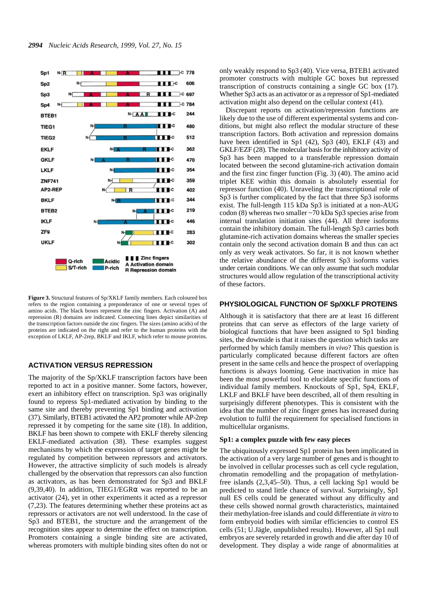<span id="page-3-0"></span>

**Figure 3.** Structural features of Sp/XKLF family members. Each coloured box refers to the region containing a preponderance of one or several types of amino acids. The black boxes represent the zinc fingers. Activation (A) and repression (R) domains are indicated. Connecting lines depict similarities of the transcription factors outside the zinc fingers. The sizes (amino acids) of the proteins are indicated on the right and refer to the human proteins with the exception of LKLF, AP-2rep, BKLF and IKLF, which refer to mouse proteins.

## **ACTIVATION VERSUS REPRESSION**

The majority of the Sp/XKLF transcription factors have been reported to act in a positive manner. Some factors, however, exert an inhibitory effect on transcription. Sp3 was originally found to repress Sp1-mediated activation by binding to the same site and thereby preventing Sp1 binding and activation ([37\)](#page-7-22). Similarly, BTEB1 activated the AP2 promoter while AP-2rep repressed it by competing for the same site ([18\)](#page-7-3). In addition, BKLF has been shown to compete with EKLF thereby silencing EKLF-mediated activation ([38\)](#page-7-23). These examples suggest mechanisms by which the expression of target genes might be regulated by competition between repressors and activators. However, the attractive simplicity of such models is already challenged by the observation that repressors can also function as activators, as has been demonstrated for Sp3 and BKLF ([9](#page-6-8)[,39](#page-7-24),[40\)](#page-7-25). In addition, TIEG1/EGR $\alpha$  was reported to be an activator ([24\)](#page-7-9), yet in other experiments it acted as a repressor ([7](#page-6-5)[,23](#page-7-8)). The features determining whether these proteins act as repressors or activators are not well understood. In the case of Sp3 and BTEB1, the structure and the arrangement of the recognition sites appear to determine the effect on transcription. Promoters containing a single binding site are activated, whereas promoters with multiple binding sites often do not or only weakly respond to Sp3 ([40\)](#page-7-25). Vice versa, BTEB1 activated promoter constructs with multiple GC boxes but repressed transcription of constructs containing a single GC box ([17\)](#page-7-2). Whether Sp3 acts as an activator or as a repressor of Sp1-mediated activation might also depend on the cellular context ([41\)](#page-7-26).

Discrepant reports on activation/repression functions are likely due to the use of different experimental systems and conditions, but might also reflect the modular structure of these transcription factors. Both activation and repression domains have been identified in Sp1 ([42\)](#page-7-27), Sp3 [\(40](#page-7-25)), EKLF ([43\)](#page-7-28) and GKLF/EZF [\(28](#page-7-13)). The molecular basis for the inhibitory activity of Sp3 has been mapped to a transferable repression domain located between the second glutamine-rich activation domain and the first zinc finger function (Fig. [3](#page-3-0)) [\(40\)](#page-7-25). The amino acid triplet KEE within this domain is absolutely essential for repressor function [\(40](#page-7-25)). Unraveling the transcriptional role of Sp3 is further complicated by the fact that three Sp3 isoforms exist. The full-length 115 kDa Sp3 is initiated at a non-AUG codon ([8\)](#page-6-7) whereas two smaller ~70 kDa Sp3 species arise from internal translation initiation sites [\(44](#page-7-29)). All three isoforms contain the inhibitory domain. The full-length Sp3 carries both glutamine-rich activation domains whereas the smaller species contain only the second activation domain B and thus can act only as very weak activators. So far, it is not known whether the relative abundance of the different Sp3 isoforms varies under certain conditions. We can only assume that such modular structures would allow regulation of the transcriptional activity of these factors.

#### **PHYSIOLOGICAL FUNCTION OF Sp/XKLF PROTEINS**

Although it is satisfactory that there are at least 16 different proteins that can serve as effectors of the large variety of biological functions that have been assigned to Sp1 binding sites, the downside is that it raises the question which tasks are performed by which family members *in vivo*? This question is particularly complicated because different factors are often present in the same cells and hence the prospect of overlapping functions is always looming. Gene inactivation in mice has been the most powerful tool to elucidate specific functions of individual family members. Knockouts of Sp1, Sp4, EKLF, LKLF and BKLF have been described, all of them resulting in surprisingly different phenotypes. This is consistent with the idea that the number of zinc finger genes has increased during evolution to fulfil the requirement for specialised functions in multicellular organisms.

#### **Sp1: a complex puzzle with few easy pieces**

The ubiquitously expressed Sp1 protein has been implicated in the activation of a very large number of genes and is thought to be involved in cellular processes such as cell cycle regulation, chromatin remodelling and the propagation of methylationfree islands ([2,](#page-6-1)[3](#page-6-2),[45–](#page-7-30)[50\)](#page-7-31). Thus, a cell lacking Sp1 would be predicted to stand little chance of survival. Surprisingly, Sp1 null ES cells could be generated without any difficulty and these cells showed normal growth characteristics, maintained their methylation-free islands and could differentiate *in vitro* to form embryoid bodies with similar efficiencies to control ES cells [\(51](#page-7-32); U.Jägle, unpublished results). However, all Sp1 null embryos are severely retarded in growth and die after day 10 of development. They display a wide range of abnormalities at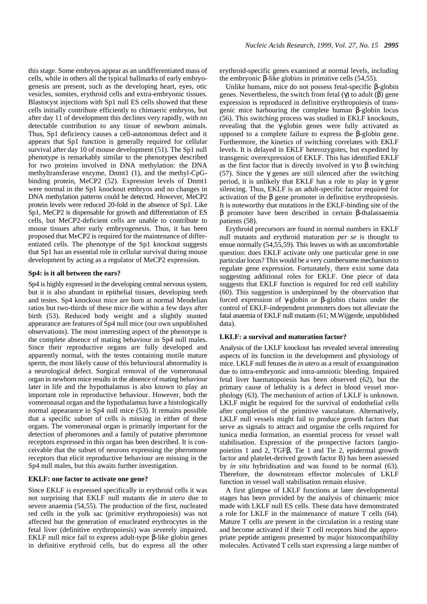this stage. Some embryos appear as an undifferentiated mass of cells, while in others all the typical hallmarks of early embryogenesis are present, such as the developing heart, eyes, otic vesicles, somites, erythroid cells and extra-embryonic tissues. Blastocyst injections with Sp1 null ES cells showed that these cells initially contribute efficiently to chimaeric embryos, but after day 11 of development this declines very rapidly, with no detectable contribution to any tissue of newborn animals. Thus, Sp1 deficiency causes a cell-autonomous defect and it appears that Sp1 function is generally required for cellular survival after day 10 of mouse development ([51\)](#page-7-32). The Sp1 null phenotype is remarkably similar to the phenotypes described for two proteins involved in DNA methylation: the DNA methyltransferase enzyme, Dnmt1 ([1\)](#page-6-0), and the methyl-CpGbinding protein, MeCP2 ([52\)](#page-7-33). Expression levels of Dnmt1 were normal in the Sp1 knockout embryos and no changes in DNA methylation patterns could be detected. However, MeCP2 protein levels were reduced 20-fold in the absence of Sp1. Like Sp1, MeCP2 is dispensable for growth and differentiation of ES cells, but MeCP2-deficient cells are unable to contribute to mouse tissues after early embryogenesis. Thus, it has been proposed that MeCP2 is required for the maintenance of differentiated cells. The phenotype of the Sp1 knockout suggests that Sp1 has an essential role in cellular survival during mouse development by acting as a regulator of MeCP2 expression.

#### **Sp4: is it all between the ears?**

Sp4 is highly expressed in the developing central nervous system, but it is also abundant in epithelial tissues, developing teeth and testes. Sp4 knockout mice are born at normal Mendelian ratios but two-thirds of these mice die within a few days after birth [\(53](#page-7-34)). Reduced body weight and a slightly stunted appearance are features of Sp4 null mice (our own unpublished observations). The most interesting aspect of the phenotype is the complete absence of mating behaviour in Sp4 null males. Since their reproductive organs are fully developed and apparently normal, with the testes containing motile mature sperm, the most likely cause of this behavioural abnormality is a neurological defect. Surgical removal of the vomeronasal organ in newborn mice results in the absence of mating behaviour later in life and the hypothalamus is also known to play an important role in reproductive behaviour. However, both the vomeronasal organ and the hypothalamus have a histologically normal appearance in Sp4 null mice [\(53](#page-7-34)). It remains possible that a specific subset of cells is missing in either of these organs. The vomeronasal organ is primarily important for the detection of pheromones and a family of putative pheromone receptors expressed in this organ has been described. It is conceivable that the subset of neurons expressing the pheromone receptors that elicit reproductive behaviour are missing in the Sp4 null males, but this awaits further investigation.

#### **EKLF: one factor to activate one gene?**

Since EKLF is expressed specifically in erythroid cells it was not surprising that EKLF null mutants die *in utero* due to severe anaemia [\(54](#page-7-35),[55\)](#page-8-0). The production of the first, nucleated red cells in the yolk sac (primitive erythropoiesis) was not affected but the generation of enucleated erythrocytes in the fetal liver (definitive erythropoiesis) was severely impaired. EKLF null mice fail to express adult-type β-like globin genes in definitive erythroid cells, but do express all the other erythroid-specific genes examined at normal levels, including the embryonic β-like globins in primitive cells  $(54,55)$  $(54,55)$  $(54,55)$  $(54,55)$ .

Unlike humans, mice do not possess fetal-specific β-globin genes. Nevertheless, the switch from fetal (γ) to adult (β) gene expression is reproduced in definitive erythropoiesis of transgenic mice harbouring the complete human β-globin locus [\(56](#page-8-1)). This switching process was studied in EKLF knockouts, revealing that the γ-globin genes were fully activated as opposed to a complete failure to express the β-globin gene. Furthermore, the kinetics of switching correlates with EKLF levels. It is delayed in EKLF heterozygotes, but expedited by transgenic overexpression of EKLF. This has identified EKLF as the first factor that is directly involved in  $\gamma$  to  $\beta$  switching [\(57](#page-8-2)). Since the  $\gamma$  genes are still silenced after the switching period, it is unlikely that EKLF has a role to play in  $\gamma$  gene silencing. Thus, EKLF is an adult-specific factor required for activation of the  $\beta$  gene promoter in definitive erythropoiesis. It is noteworthy that mutations in the EKLF-binding site of the β promoter have been described in certain β-thalassaemia patients ([58\)](#page-8-3).

Erythroid precursors are found in normal numbers in EKLF null mutants and erythroid maturation *per se* is thought to ensue normally [\(54](#page-7-35)[,55](#page-8-0),[59\)](#page-8-4). This leaves us with an uncomfortable question: does EKLF activate only one particular gene in one particular locus? This would be a very cumbersome mechanism to regulate gene expression. Fortunately, there exist some data suggesting additional roles for EKLF. One piece of data suggests that EKLF function is required for red cell stability [\(60](#page-8-5)). This suggestion is underpinned by the observation that forced expression of γ-globin or β-globin chains under the control of EKLF-independent promoters does not alleviate the fatal anaemia of EKLF null mutants [\(61](#page-8-6); M.Wijgerde, unpublished data).

#### **LKLF: a survival and maturation factor?**

Analysis of the LKLF knockout has revealed several interesting aspects of its function in the development and physiology of mice. LKLF null fetuses die *in utero* as a result of exsanguination due to intra-embryonic and intra-amniotic bleeding. Impaired fetal liver haematopoiesis has been observed ([62\)](#page-8-7), but the primary cause of lethality is a defect in blood vessel morphology ([63\)](#page-8-8). The mechanism of action of LKLF is unknown. LKLF might be required for the survival of endothelial cells after completion of the primitive vasculature. Alternatively, LKLF null vessels might fail to produce growth factors that serve as signals to attract and organise the cells required for tunica media formation, an essential process for vessel wall stabilisation. Expression of the prospective factors (angiopoietins 1 and 2, TGFβ, Tie 1 and Tie 2, epidermal growth factor and platelet-derived growth factor B) has been assessed by *in situ* hybridisation and was found to be normal ([63\)](#page-8-8). Therefore, the downstream effector molecules of LKLF function in vessel wall stabilisation remain elusive.

A first glimpse of LKLF functions at later developmental stages has been provided by the analysis of chimaeric mice made with LKLF null ES cells. These data have demonstrated a role for LKLF in the maintenance of mature T cells ([64\)](#page-8-9). Mature T cells are present in the circulation in a resting state and become activated if their T cell receptors bind the appropriate peptide antigens presented by major histocompatibility molecules. Activated T cells start expressing a large number of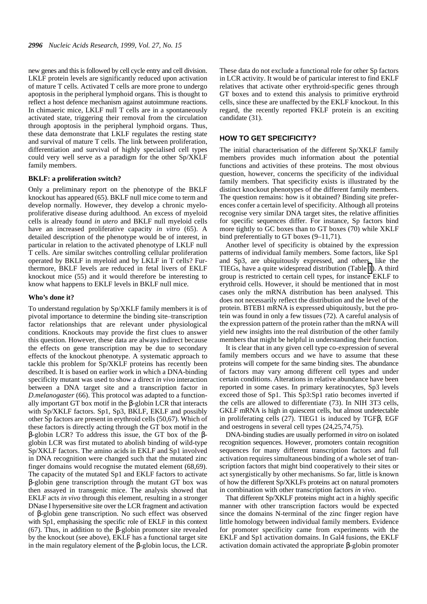new genes and this is followed by cell cycle entry and cell division. LKLF protein levels are significantly reduced upon activation of mature T cells. Activated T cells are more prone to undergo apoptosis in the peripheral lymphoid organs. This is thought to reflect a host defence mechanism against autoimmune reactions. In chimaeric mice, LKLF null T cells are in a spontaneously activated state, triggering their removal from the circulation through apoptosis in the peripheral lymphoid organs. Thus, these data demonstrate that LKLF regulates the resting state and survival of mature T cells. The link between proliferation, differentiation and survival of highly specialised cell types could very well serve as a paradigm for the other Sp/XKLF family members.

#### **BKLF: a proliferation switch?**

Only a preliminary report on the phenotype of the BKLF knockout has appeared ([65\)](#page-8-10). BKLF null mice come to term and develop normally. However, they develop a chronic myeloproliferative disease during adulthood. An excess of myeloid cells is already found *in utero* and BKLF null myeloid cells have an increased proliferative capacity *in vitro* [\(65](#page-8-10)). A detailed description of the phenotype would be of interest, in particular in relation to the activated phenotype of LKLF null T cells. Are similar switches controlling cellular proliferation operated by BKLF in myeloid and by LKLF in T cells? Furthermore, BKLF levels are reduced in fetal livers of EKLF knockout mice [\(55](#page-8-0)) and it would therefore be interesting to know what happens to EKLF levels in BKLF null mice.

#### **Who's done it?**

To understand regulation by Sp/XKLF family members it is of pivotal importance to determine the binding site–transcription factor relationships that are relevant under physiological conditions. Knockouts may provide the first clues to answer this question. However, these data are always indirect because the effects on gene transcription may be due to secondary effects of the knockout phenotype. A systematic approach to tackle this problem for Sp/XKLF proteins has recently been described. It is based on earlier work in which a DNA-binding specificity mutant was used to show a direct *in vivo* interaction between a DNA target site and a transcription factor in *D.melanogaster* [\(66](#page-8-11)). This protocol was adapted to a functionally important GT box motif in the β-globin LCR that interacts with Sp/XKLF factors. Sp1, Sp3, BKLF, EKLF and possibly other Sp factors are present in erythroid cells ([50](#page-7-31)[,67](#page-8-12)). Which of these factors is directly acting through the GT box motif in the β-globin LCR? To address this issue, the GT box of the βglobin LCR was first mutated to abolish binding of wild-type Sp/XKLF factors. The amino acids in EKLF and Sp1 involved in DNA recognition were changed such that the mutated zinc finger domains would recognise the mutated element ([68,](#page-8-13)[69](#page-8-14)). The capacity of the mutated Sp1 and EKLF factors to activate β-globin gene transcription through the mutant GT box was then assayed in transgenic mice. The analysis showed that EKLF acts *in vivo* through this element, resulting in a stronger DNase I hypersensitive site over the LCR fragment and activation of β-globin gene transcription. No such effect was observed with Sp1, emphasising the specific role of EKLF in this context ([67\)](#page-8-12). Thus, in addition to the β-globin promoter site revealed by the knockout (see above), EKLF has a functional target site in the main regulatory element of the β-globin locus, the LCR.

These data do not exclude a functional role for other Sp factors in LCR activity. It would be of particular interest to find EKLF relatives that activate other erythroid-specific genes through GT boxes and to extend this analysis to primitive erythroid cells, since these are unaffected by the EKLF knockout. In this regard, the recently reported FKLF protein is an exciting candidate [\(31](#page-7-16)).

### **HOW TO GET SPECIFICITY?**

The initial characterisation of the different Sp/XKLF family members provides much information about the potential functions and activities of these proteins. The most obvious question, however, concerns the specificity of the individual family members. That specificity exists is illustrated by the distinct knockout phenotypes of the different family members. The question remains: how is it obtained? Binding site preferences confer a certain level of specificity. Although all proteins recognise very similar DNA target sites, the relative affinities for specific sequences differ. For instance, Sp factors bind more tightly to GC boxes than to GT boxes [\(70](#page-8-15)) while XKLF bind preferentially to GT boxes ([9](#page-6-8)[–11](#page-6-13)[,71](#page-8-16)).

Another level of specificity is obtained by the expression patterns of individual family members. Some factors, like Sp1 and Sp3, are ubiquitously expressed, and others, like the TIEGs, have a quite widespread distribution (Table [1](#page-2-0)). A third group is restricted to certain cell types, for instance EKLF to erythroid cells. However, it should be mentioned that in most cases only the mRNA distribution has been analysed. This does not necessarily reflect the distribution and the level of the protein. BTEB1 mRNA is expressed ubiquitously, but the protein was found in only a few tissues [\(72](#page-8-17)). A careful analysis of the expression pattern of the protein rather than the mRNA will yield new insights into the real distribution of the other family members that might be helpful in understanding their function.

It is clear that in any given cell type co-expression of several family members occurs and we have to assume that these proteins will compete for the same binding sites. The abundance of factors may vary among different cell types and under certain conditions. Alterations in relative abundance have been reported in some cases. In primary keratinocytes, Sp3 levels exceed those of Sp1. This Sp3:Sp1 ratio becomes inverted if the cells are allowed to differentiate [\(73](#page-8-18)). In NIH 3T3 cells, GKLF mRNA is high in quiescent cells, but almost undetectable in proliferating cells [\(27](#page-7-12)). TIEG1 is induced by TGFβ, EGF and oestrogens in several cell types [\(24](#page-7-9),[25](#page-7-10)[,74](#page-8-19),[75\)](#page-8-20).

DNA-binding studies are usually performed *in vitro* on isolated recognition sequences. However, promoters contain recognition sequences for many different transcription factors and full activation requires simultaneous binding of a whole set of transcription factors that might bind cooperatively to their sites or act synergistically by other mechanisms. So far, little is known of how the different Sp/XKLFs proteins act on natural promoters in combination with other transcription factors *in vivo*.

That different Sp/XKLF proteins might act in a highly specific manner with other transcription factors would be expected since the domains N-terminal of the zinc finger region have little homology between individual family members. Evidence for promoter specificity came from experiments with the EKLF and Sp1 activation domains. In Gal4 fusions, the EKLF activation domain activated the appropriate β-globin promoter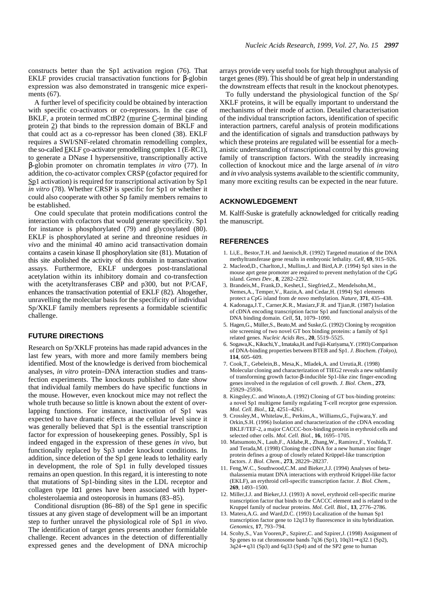constructs better than the Sp1 activation region [\(76](#page-8-21)). That EKLF provides crucial transactivation functions for β-globin expression was also demonstrated in transgenic mice experiments [\(67](#page-8-12)).

A further level of specificity could be obtained by interaction with specific co-activators or co-repressors. In the case of BKLF, a protein termed mCtBP2 (murine C-terminal binding protein 2) that binds to the repression domain of BKLF and that could act as a co-repressor has been cloned ([38\)](#page-7-23). EKLF requires a SWI/SNF-related chromatin remodelling complex, the so-called  $EKLF$  co-activator remodelling complex 1 (E-RC1), to generate a DNase I hypersensitive, transcriptionally active β-globin promoter on chromatin templates *in vitro* [\(77](#page-8-22)). In addition, the co-activator complex CRSP (cofactor required for Sp1 activation) is required for transcriptional activation by Sp1 *in vitro* ([78\)](#page-8-23). Whether CRSP is specific for Sp1 or whether it could also cooperate with other Sp family members remains to be established.

One could speculate that protein modifications control the interaction with cofactors that would generate specificity. Sp1 for instance is phosphorylated [\(79](#page-8-24)) and glycosylated [\(80](#page-8-25)). EKLF is phosphorylated at serine and threonine residues *in vivo* and the minimal 40 amino acid transactivation domain contains a casein kinase II phosphorylation site ([81\)](#page-8-26). Mutation of this site abolished the activity of this domain in transactivation assays. Furthermore, EKLF undergoes post-translational acetylation within its inhibitory domain and co-transfection with the acetyltransferases CBP and p300, but not P/CAF, enhances the transactivation potential of EKLF ([82\)](#page-8-27). Altogether, unravelling the molecular basis for the specificity of individual Sp/XKLF family members represents a formidable scientific challenge.

#### **FUTURE DIRECTIONS**

Research on Sp/XKLF proteins has made rapid advances in the last few years, with more and more family members being identified. Most of the knowledge is derived from biochemical analyses, *in vitro* protein–DNA interaction studies and transfection experiments. The knockouts published to date show that individual family members do have specific functions in the mouse. However, even knockout mice may not reflect the whole truth because so little is known about the extent of overlapping functions. For instance, inactivation of Sp1 was expected to have dramatic effects at the cellular level since it was generally believed that Sp1 is the essential transcription factor for expression of housekeeping genes. Possibly, Sp1 is indeed engaged in the expression of these genes *in vivo*, but functionally replaced by Sp3 under knockout conditions. In addition, since deletion of the Sp1 gene leads to lethality early in development, the role of Sp1 in fully developed tissues remains an open question. In this regard, it is interesting to note that mutations of Sp1-binding sites in the LDL receptor and collagen type  $I\alpha1$  genes have been associated with hypercholesterolaemia and osteoporosis in humans [\(83–](#page-8-28)[85\)](#page-8-29).

Conditional disruption ([86–](#page-8-30)[88\)](#page-8-31) of the Sp1 gene in specific tissues at any given stage of development will be an important step to further unravel the physiological role of Sp1 *in vivo*. The identification of target genes presents another formidable challenge. Recent advances in the detection of differentially expressed genes and the development of DNA microchip arrays provide very useful tools for high throughput analysis of target genes ([89\)](#page-8-32). This should be of great help in understanding the downstream effects that result in the knockout phenotypes.

To fully understand the physiological function of the Sp/ XKLF proteins, it will be equally important to understand the mechanisms of their mode of action. Detailed characterisation of the individual transcription factors, identification of specific interaction partners, careful analysis of protein modifications and the identification of signals and transduction pathways by which these proteins are regulated will be essential for a mechanistic understanding of transcriptional control by this growing family of transcription factors. With the steadily increasing collection of knockout mice and the large arsenal of *in vitro* and *in vivo* analysis systems available to the scientific community, many more exciting results can be expected in the near future.

#### **ACKNOWLEDGEMENT**

M. Kalff-Suske is gratefully acknowledged for critically reading the manuscript.

#### **REFERENCES**

- <span id="page-6-0"></span>1. Li,E., Bestor,T.H. and Jaenisch,R. (1992) Targeted mutation of the DNA methyltransferase gene results in embryonic lethality. *Cell*, **69**, 915–926.
- <span id="page-6-1"></span>2. Macleod,D., Charlton,J., Mullins,J. and Bird,A.P. (1994) Sp1 sites in the mouse aprt gene promoter are required to prevent methylation of the CpG island. *Genes Dev.*, **8**, 2282–2292.
- <span id="page-6-2"></span>3. Brandeis,M., Frank,D., Keshet,I., Siegfried,Z., Mendelsohn,M., Nemes,A., Temper,V., Razin,A. and Cedar,H. (1994) Sp1 elements protect a CpG island from *de novo* methylation. *Nature*, **371**, 435–438.
- <span id="page-6-3"></span>4. Kadonaga,J.T., Carner,K.R., Masiarz,F.R. and Tjian,R. (1987) Isolation of cDNA encoding transcription factor Sp1 and functional analysis of the DNA binding domain. *Cell*, **51**, 1079–1090.
- <span id="page-6-4"></span>5. Hagen,G., Müller,S., Beato,M. and Suske,G. (1992) Cloning by recognition site screening of two novel GT box binding proteins: a family of Sp1 related genes. *Nucleic Acids Res.*, **20**, 5519–5525.
- <span id="page-6-6"></span>6. Sogawa,K., Kikuchi,Y., Imataka,H. and Fujii-Kuriyama,Y. (1993) Comparison of DNA-binding properties between BTEB and Sp1. *J. Biochem. (Tokyo)*, **114**, 605–609.
- <span id="page-6-5"></span>7. Cook,T., Gebelein,B., Mesa,K., Mladek,A. and Urrutia,R. (1998) Molecular cloning and characterization of TIEG2 reveals a new subfamily of transforming growth factor-β-inducible Sp1-like zinc finger-encoding genes involved in the regulation of cell growth. *J. Biol. Chem.*, **273**, 25929–25936.
- <span id="page-6-7"></span>8. Kingsley,C. and Winoto,A. (1992) Cloning of GT box-binding proteins: a novel Sp1 multigene family regulating T-cell receptor gene expression. *Mol. Cell. Biol.*, **12**, 4251–4261.
- <span id="page-6-8"></span>9. Crossley,M., Whitelaw,E., Perkins,A., Williams,G., Fujiwara,Y. and Orkin,S.H. (1996) Isolation and characterization of the cDNA encoding BKLF/TEF-2, a major CACCC-box-binding protein in erythroid cells and selected other cells. *Mol. Cell. Biol.*, **16**, 1695–1705.
- <span id="page-6-12"></span>10. Matsumoto,N., Laub,F., Aldabe,R., Zhang,W., Ramirez,F., Yoshida,T. and Terada,M. (1998) Cloning the cDNA for a new human zinc finger protein defines a group of closely related Krüppel-like transcription factors. *J. Biol. Chem.*, **273**, 28229–28237.
- <span id="page-6-13"></span>11. Feng,W.C., Southwood,C.M. and Bieker,J.J. (1994) Analyses of betathalassemia mutant DNA interactions with erythroid Krüppel-like factor (EKLF), an erythroid cell-specific transcription factor. *J. Biol. Chem.*, **269**, 1493–1500.
- <span id="page-6-9"></span>12. Miller,I.J. and Bieker,J.J. (1993) A novel, erythroid cell-specific murine transcription factor that binds to the CACCC element and is related to the Kruppel family of nuclear proteins. *Mol. Cell. Biol.*, **13**, 2776–2786.
- <span id="page-6-10"></span>13. Matera,A.G. and Ward,D.C. (1993) Localization of the human Sp1 transcription factor gene to 12q13 by fluorescence in situ hybridization. *Genomics*, **17**, 793–794.
- <span id="page-6-11"></span>14. Scohy,S., Van Vooren,P., Szpirer,C. and Szpirer,J. (1998) Assignment of Sp genes to rat chromosome bands 7q36 (Sp1), 10q31→q32.1 (Sp2), 3q24→q31 (Sp3) and 6q33 (Sp4) and of the SP2 gene to human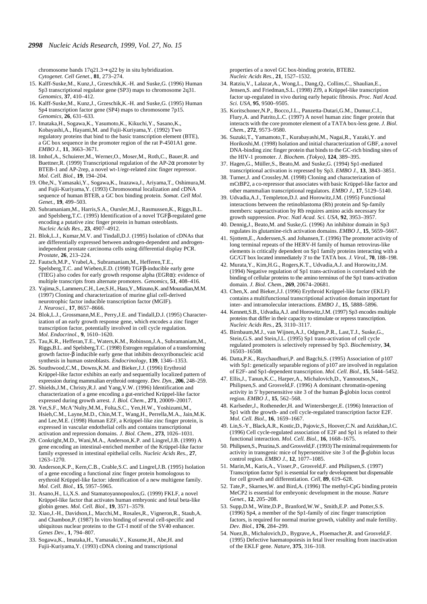chromosome bands 17q21.3→q22 by in situ hybridization. *Cytogenet. Cell Genet.*, **81**, 273–274.

- <span id="page-7-0"></span>15. Kalff-Suske,M., Kunz,J., Grzeschik,K.-H. and Suske,G. (1996) Human Sp3 transcriptional regulator gene (SP3) maps to chromosome 2q31. *Genomics*, **37**, 410–412.
- <span id="page-7-1"></span>16. Kalff-Suske,M., Kunz,J., Grzeschik,K.-H. and Suske,G. (1995) Human Sp4 transcription factor gene (SP4) maps to chromosome 7p15. *Genomics*, **26**, 631–633.
- <span id="page-7-2"></span>17. Imataka,H., Sogawa,K., Yasumoto,K., Kikuchi,Y., Sasano,K., Kobayashi,A., Hayami,M. and Fujii-Kuriyama,Y. (1992) Two regulatory proteins that bind to the basic transcription element (BTE), a GC box sequence in the promoter region of the rat P-4501A1 gene. *EMBO J.*, **11**, 3663–3671.
- <span id="page-7-3"></span>18. Imhof,A., Schuierer,M., Werner,O., Moser,M., Roth,C., Bauer,R. and Buettner,R. (1999) Transcriptional regulation of the AP-2α promoter by BTEB-1 and AP-2rep, a novel wt-1/egr-related zinc finger repressor. *Mol. Cell. Biol.*, **19**, 194–204.
- <span id="page-7-4"></span>19. Ohe,N., Yamasaki,Y., Sogawa,K., Inazawa,J., Ariyama,T., Oshimura,M. and Fujii-Kuriyama,Y. (1993) Chromosomal localization and cDNA sequence of human BTEB, a GC box binding protein. *Somat. Cell Mol. Genet.*, **19**, 499–503.
- <span id="page-7-5"></span>20. Subramaniam,M., Harris,S.A., Oursler,M.J., Rasmussen,K., Riggs,B.L. and Spelsberg,T.C. (1995) Identification of a novel TGFβ-regulated gene encoding a putative zinc finger protein in human osteoblasts. *Nucleic Acids Res.*, **23**, 4907–4912.
- <span id="page-7-6"></span>21. Blok,L.J., Kumar,M.V. and Tindall,D.J. (1995) Isolation of cDNAs that are differentially expressed between androgen-dependent and androgenindependent prostate carcinoma cells using differential display PCR. *Prostate*, **26**, 213–224.
- <span id="page-7-7"></span>22. Fautsch,M.P., Vrabel,A., Subramaniam,M., Hefferen,T.E., Spelsberg,T.C. and Wieben,E.D. (1998) TGFβ-inducible early gene (TIEG) also codes for early growth response alpha (EGRα): evidence of multiple transcripts from alternate promoters. *Genomics*, **51**, 408–416.
- <span id="page-7-8"></span>23. Yajima, S., Lammers, C.H., Lee, S.H., Hara, Y., Mizuno, K. and Mouradian, M.M. (1997) Cloning and characterization of murine glial cell-derived neurotrophic factor inducible transcription factor (MGIF). *J. Neurosci.*, **17**, 8657–8666.
- <span id="page-7-9"></span>24. Blok,L.J., Grossmann,M.E., Perry,J.E. and Tindall,D.J. (1995) Characterization of an early growth response gene, which encodes a zinc finger transcription factor, potentially involved in cell cycle regulation. *Mol. Endocrinol.*, **9**, 1610–1620.
- <span id="page-7-10"></span>25. Tau,K.R., Hefferan,T.E., Waters,K.M., Robinson,J.A., Subramaniam,M., Riggs,B.L. and Spelsberg,T.C. (1998) Estrogen regulation of a transforming growth factor-β inducible early gene that inhibits deoxyribonucleic acid synthesis in human osteoblasts. *Endocrinology*, **139**, 1346–1353.
- <span id="page-7-11"></span>26. Southwood,C.M., Downs,K.M. and Bieker,J.J. (1996) Erythroid Krüppel-like factor exhibits an early and sequentially localized pattern of expression during mammalian erythroid ontogeny. *Dev. Dyn.*, **206**, 248–259.
- <span id="page-7-12"></span>27. Shields,J.M., Christy,R.J. and Yang,V.W. (1996) Identification and characterization of a gene encoding a gut-enriched Krüppel-like factor expressed during growth arrest. *J. Biol. Chem.*, **271**, 20009–20017.
- <span id="page-7-13"></span>28. Yet,S.F., McA'Nulty,M.M., Folta,S.C., Yen,H.W., Yoshizumi,M., Hsieh,C.M., Layne,M.D., Chin,M.T., Wang,H., Perrella,M.A., Jain,M.K. and Lee,M.E. (1998) Human EZF, a Krüppel-like zinc finger protein, is expressed in vascular endothelial cells and contains transcriptional activation and repression domains. *J. Biol. Chem.*, **273**, 1026–1031.
- <span id="page-7-14"></span>29. Conkright,M.D., Wani,M.A., Anderson,K.P. and Lingrel,J.B. (1999) A gene encoding an intestinal-enriched member of the Krüppel-like factor family expressed in intestinal epithelial cells. *Nucleic Acids Res.*, **27**, 1263–1270.
- <span id="page-7-15"></span>30. Anderson,K.P., Kern,C.B., Crable,S.C. and Lingrel,J.B. (1995) Isolation of a gene encoding a functional zinc finger protein homologous to erythroid Krüppel-like factor: identification of a new multigene family. *Mol. Cell. Biol.*, **15**, 5957–5965.
- <span id="page-7-16"></span>31. Asano,H., Li,X.S. and Stamatoyannopoulos,G. (1999) FKLF, a novel Krüppel-like factor that activates human embryonic and fetal beta-like globin genes. *Mol. Cell. Biol.*, **19**, 3571–3579.
- <span id="page-7-17"></span>32. Xiao,J.-H., Davidson,I., Macchi,M., Rosales,R., Vigneron,R., Staub,A. and Chambon,P. (1987) In vitro binding of several cell-specific and ubiquitous nuclear proteins to the GT-I motif of the SV40 enhancer. *Genes Dev.*, **1**, 794–807.
- <span id="page-7-18"></span>33. Sogawa,K., Imataka,H., Yamasaki,Y., Kusume,H., Abe,H. and Fujii-Kuriyama,Y. (1993) cDNA cloning and transcriptional

properties of a novel GC box-binding protein, BTEB2. *Nucleic Acids Res.*, **21**, 1527–1532.

- <span id="page-7-19"></span>34. Ratziu,V., Lalazar,A., Wong,L., Dang,Q., Collins,C., Shaulian,E., Jensen,S. and Friedman,S.L. (1998) Zf9, a Krüppel-like transcription factor up-regulated in vivo during early hepatic fibrosis. *Proc. Natl Acad. Sci. USA*, **95**, 9500–9505.
- <span id="page-7-20"></span>35. Koritschoner,N.P., Bocco,J.L., Panzetta-Dutari,G.M., Dumur,C.I., Flury,A. and Patrito,L.C. (1997) A novel human zinc finger protein that interacts with the core promoter element of a TATA box-less gene. *J. Biol. Chem.*, **272**, 9573–9580.
- <span id="page-7-21"></span>36. Suzuki,T., Yamamoto,T., Kurabayashi,M., Nagai,R., Yazaki,Y. and Horikoshi,M. (1998) Isolation and initial characterization of GBF, a novel DNA-binding zinc finger protein that binds to the GC-rich binding sites of the HIV-1 promoter. *J. Biochem. (Tokyo)*, **124**, 389–395.
- <span id="page-7-22"></span>37. Hagen,G., Müller,S., Beato,M. and Suske,G. (1994) Sp1-mediated transcriptional activation is repressed by Sp3. *EMBO J.*, **13**, 3843–3851.
- <span id="page-7-23"></span>38. Turner,J. and Crossley,M. (1998) Cloning and characterization of mCtBP2, a co-repressor that associates with basic Krüppel-like factor and other mammalian transcriptional regulators. *EMBO J.*, **17**, 5129–5140.
- <span id="page-7-24"></span>39. Udvadia,A.J., Templeton,D.J. and Horowitz,J.M. (1995) Functional interactions between the retinoblastoma (Rb) protein and Sp-family members: superactivation by Rb requires amino acids necessary for growth suppression. *Proc. Natl Acad. Sci. USA*, **92**, 3953–3957.
- <span id="page-7-25"></span>40. Dennig,J., Beato,M. and Suske,G. (1996) An inhibitor domain in Sp3 regulates its glutamine-rich activation domains. *EMBO J.*, **15**, 5659–5667.
- <span id="page-7-26"></span>41. Sjottem,E., Anderssen,S. and Johansen,T. (1996) The promoter activity of long terminal repeats of the HERV-H family of human retrovirus-like elements is critically dependent on Sp1 family proteins interacting with a GC/GT box located immediately 3' to the TATA box. *J. Virol.*, **70**, 188–198.
- <span id="page-7-27"></span>42. Murata,Y., Kim,H.G., Rogers,K.T., Udvadia,A.J. and Horowitz,J.M. (1994) Negative regulation of Sp1 trans-activation is correlated with the binding of cellular proteins to the amino terminus of the Sp1 trans-activation domain. *J. Biol. Chem.*, **269**, 20674–20681.
- <span id="page-7-28"></span>43. Chen,X. and Bieker,J.J. (1996) Erythroid Krüppel-like factor (EKLF) contains a multifunctional transcriptional activation domain important for inter- and intramolecular interactions. *EMBO J.*, **15**, 5888–5896.
- <span id="page-7-29"></span>44. Kennett,S.B., Udvadia,A.J. and Horowitz,J.M. (1997) Sp3 encodes multiple proteins that differ in their capacity to stimulate or repress transcription. *Nucleic Acids Res.*, **25**, 3110–3117.
- <span id="page-7-30"></span>45. Birnbaum,M.J., van Wijnen,A.J., Odgren,P.R., Last,T.J., Suske,G., Stein,G.S. and Stein,J.L. (1995) Sp1 trans-activation of cell cycle regulated promoters is selectively repressed by Sp3. *Biochemistry*, **34**, 16503–16508.
- 46. Datta,P.K., Raychaudhuri,P. and Bagchi,S. (1995) Association of p107 with Sp1: genetically separable regions of p107 are involved in regulation of E2F- and Sp1-dependent transcription. *Mol. Cell. Biol.*, **15**, 5444–5452.
- 47. Ellis,J., Tanun,K.C., Harper,A., Michalovich,D., Yannoutsos,N., Philipsen,S. and Grosveld,F. (1996) A dominant chromatin-opening activity in 5' hypersensitive site 3 of the human β-globin locus control region. *EMBO J.*, **15**, 562–568.
- 48. Karlseder,J., Rotheneder,H. and Wintersberger,E. (1996) Interaction of Sp1 with the growth- and cell cycle-regulated transcription factor E2F. *Mol. Cell. Biol.*, **16**, 1659–1667.
- 49. Lin,S.-Y., Black,A.R., Kostic,D., Pajovic,S., Hoover,C.N. and Azizkhan,J.C. (1996) Cell cycle-regulated association of E2F and Sp1 is related to their functional interaction. *Mol. Cell. Biol.*, **16**, 1668–1675.
- <span id="page-7-31"></span>50. Philipsen,S., Pruzina,S. and Grosveld,F. (1993) The minimal requirements for activity in transgenic mice of hypersensitive site 3 of the β-globin locus control region. *EMBO J.*, **12**, 1077–1085.
- <span id="page-7-32"></span>51. Marin,M., Karis,A., Visser,P., Grosveld,F. and Philipsen,S. (1997) Transcription factor Sp1 is essential for early development but dispensable for cell growth and differentiation. *Cell*, **89**, 619–628.
- <span id="page-7-33"></span>52. Tate,P., Skarnes,W. and Bird,A. (1996) The methyl-CpG binding protein MeCP2 is essential for embryonic development in the mouse. *Nature Genet.*, **12**, 205–208.
- <span id="page-7-34"></span>53. Supp,D.M., Witte,D.P., Branford,W.W., Smith,E.P. and Potter,S.S. (1996) Sp4, a member of the Sp1-family of zinc finger transcription factors, is required for normal murine growth, viability and male fertility. *Dev. Biol.*, **176**, 284–299.
- <span id="page-7-35"></span>54. Nuez,B., Michalovich,D., Bygrave,A., Ploemacher,R. and Grosveld,F. (1995) Defective haematopoiesis in fetal liver resulting from inactivation of the EKLF gene. *Nature*, **375**, 316–318.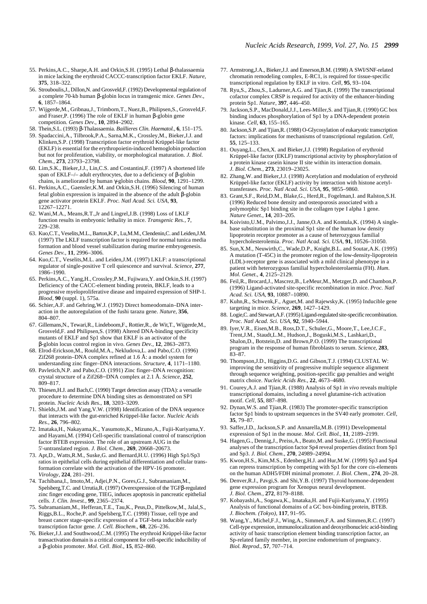- <span id="page-8-0"></span>55. Perkins,A.C., Sharpe,A.H. and Orkin,S.H. (1995) Lethal β-thalassaemia in mice lacking the erythroid CACCC-transcription factor EKLF. *Nature*, **375**, 318–322.
- <span id="page-8-1"></span>56. Strouboulis,J., Dillon,N. and Grosveld,F. (1992) Developmental regulation of a complete 70-kb human β-globin locus in transgenic mice. *Genes Dev.*, **6**, 1857–1864.
- <span id="page-8-2"></span>57. Wijgerde,M., Gribnau,J., Trimborn,T., Nuez,B., Philipsen,S., Grosveld,F. and Fraser,P. (1996) The role of EKLF in human β-globin gene competition. *Genes Dev.*, **10**, 2894–2902.
- <span id="page-8-3"></span>58. Thein,S.L. (1993) β-Thalassaemia. *Baillieres Clin. Haematol.*, **6**, 151–175.
- <span id="page-8-4"></span>59. Spadaccini,A., Tilbrook,P.A., Sarna,M.K., Crossley,M., Bieker,J.J. and Klinken,S.P. (1998) Transcription factor erythroid Krüppel-like factor (EKLF) is essential for the erythropoietin-induced hemoglobin production but not for proliferation, viability, or morphological maturation. *J. Biol. Chem.*, **273**, 23793–23798.
- <span id="page-8-5"></span>60. Lim,S.K., Bieker,J.J., Lin,C.S. and Costantini,F. (1997) A shortened life span of EKLF–/– adult erythrocytes, due to a deficiency of β-globin chains, is ameliorated by human γ-globin chains. *Blood*, **90**, 1291–1299.
- <span id="page-8-6"></span>61. Perkins,A.C., Gaensler,K.M. and Orkin,S.H. (1996) Silencing of human fetal globin expression is impaired in the absence of the adult β-globin gene activator protein EKLF. *Proc. Natl Acad. Sci. USA*, **93**, 12267–12271.
- <span id="page-8-7"></span>62. Wani,M.A., Means,R.T.,Jr and Lingrel,J.B. (1998) Loss of LKLF function results in embryonic lethality in mice. *Transgenic Res.*, **7**, 229–238.
- <span id="page-8-8"></span>63. Kuo,C.T., Veselits,M.L., Barton,K.P., Lu,M.M., Clendenin,C. and Leiden,J.M. (1997) The LKLF transcription factor is required for normal tunica media formation and blood vessel stabilization during murine embryogenesis. *Genes Dev.*, **11**, 2996–3006.
- <span id="page-8-9"></span>64. Kuo,C.T., Veselits,M.L. and Leiden,J.M. (1997) LKLF: a transcriptional regulator of single-positive T cell quiescence and survival. *Science*, **277**, 1986–1990.
- <span id="page-8-10"></span>65. Perkins,A.C., Yang,H., Crossley,P.M., Fujiwara,Y. and Orkin,S.H. (1997) Deficiency of the CACC-element binding protein, BKLF, leads to a progressive myeloproliferative diease and impaired expression of SHP-1. *Blood*, **90** (suppl. 1), 575a.
- <span id="page-8-11"></span>66. Schier,A.F. and Gehring,W.J. (1992) Direct homeodomain–DNA interaction in the autoregulation of the fushi tarazu gene. *Nature*, **356**, 804–807.
- <span id="page-8-12"></span>67. Gillemans,N., Tewari,R., Lindeboom,F., Rottier,R., de Wit,T., Wijgerde,M., Grosveld,F. and Philipsen,S. (1998) Altered DNA-binding specificity mutants of EKLF and Sp1 show that EKLF is an activator of the β-globin locus control region in vivo. *Genes Dev.*, **12**, 2863–2873.
- <span id="page-8-13"></span>68. Elrod-Erickson,M., Rould,M.A., Nekludova,L. and Pabo,C.O. (1996) Zif268 protein–DNA complex refined at 1.6 Å: a model system for understanding zinc finger–DNA interactions. *Structure*, **4**, 1171–1180.
- <span id="page-8-14"></span>69. Pavletich,N.P. and Pabo,C.O. (1991) Zinc finger–DNA recognition: crystal structure of a Zif268–DNA complex at 2.1 Å. *Science*, **252**, 809–817.
- <span id="page-8-15"></span>70. Thiesen,H.J. and Bach,C. (1990) Target detection assay (TDA): a versatile procedure to determine DNA binding sites as demonstrated on SP1 protein. *Nucleic Acids Res.*, **18**, 3203–3209.
- <span id="page-8-16"></span>71. Shields,J.M. and Yang,V.W. (1998) Identification of the DNA sequence that interacts with the gut-enriched Krüppel-like factor. *Nucleic Acids Res.*, **26**, 796–802.
- <span id="page-8-17"></span>72. Imataka,H., Nakayama,K., Yasumoto,K., Mizuno,A., Fujii-Kuriyama,Y. and Hayami,M. (1994) Cell-specific translational control of transcription factor BTEB expression. The role of an upstream AUG in the 5'-untranslated region. *J. Biol. Chem.*, **269**, 20668–20673.
- <span id="page-8-18"></span>73. Apt,D., Watts,R.M., Suske,G. and Bernard,H.U. (1996) High Sp1/Sp3 ratios in epithelial cells during epithelial differentiation and cellular transformation correlate with the activation of the HPV-16 promoter. *Virology*, **224**, 281–291.
- <span id="page-8-19"></span>74. Tachibana,I., Imoto,M., Adjei,P.N., Gores,G.J., Subramaniam,M., Spelsberg,T.C. and Urrutia,R. (1997) Overexpression of the TGFβ-regulated zinc finger encoding gene, TIEG, induces apoptosis in pancreatic epithelial cells. *J. Clin. Invest.*, **99**, 2365–2374.
- <span id="page-8-20"></span>75. Subramaniam,M., Hefferan,T.E., Tau,K., Peus,D., Pittelkow,M., Jalal,S., Riggs,B.L., Roche,P. and Spelsberg,T.C. (1998) Tissue, cell type and breast cancer stage-specific expression of a TGF-beta inducible early transcription factor gene. *J. Cell. Biochem.*, **68**, 226–236.
- <span id="page-8-21"></span>76. Bieker,J.J. and Southwood,C.M. (1995) The erythroid Krüppel-like factor transactivation domain is a critical component for cell-specific inducibility of a β-globin promoter. *Mol. Cell. Biol.*, **15**, 852–860.
- <span id="page-8-22"></span>77. Armstrong,J.A., Bieker,J.J. and Emerson,B.M. (1998) A SWI/SNF-related chromatin remodeling complex, E-RC1, is required for tissue-specific transcriptional regulation by EKLF in vitro. *Cell*, **95**, 93–104.
- <span id="page-8-23"></span>78. Ryu,S., Zhou,S., Ladurner,A.G. and Tjian,R. (1999) The transcriptional cofactor complex CRSP is required for activity of the enhancer-binding protein Sp1. *Nature*, **397**, 446–450.
- <span id="page-8-24"></span>79. Jackson,S.P., MacDonald,J.J., Lees-Miller,S. and Tjian,R. (1990) GC box binding induces phosphorylation of Sp1 by a DNA-dependent protein kinase. *Cell*, **63**, 155–165.
- <span id="page-8-25"></span>80. Jackson,S.P. and Tjian,R. (1988) O-Glycosylation of eukaryotic transcription factors: implications for mechanisms of transcriptional regulation. *Cell*, **55**, 125–133.
- <span id="page-8-26"></span>81. Ouyang,L., Chen,X. and Bieker,J.J. (1998) Regulation of erythroid Krüppel-like factor (EKLF) transcriptional activity by phosphorylation of a protein kinase casein kinase II site within its interaction domain. *J. Biol. Chem.*, **273**, 23019–23025.
- <span id="page-8-27"></span>82. Zhang,W. and Bieker,J.J. (1998) Acetylation and modulation of erythroid Krüppel-like factor (EKLF) activity by interaction with histone acetyltransferases. *Proc. Natl Acad. Sci. USA*, **95**, 9855–9860.
- <span id="page-8-28"></span>83. Grant,S.F., Reid,D.M., Blake,G., Herd,R., Fogelman,I. and Ralston,S.H. (1996) Reduced bone density and osteoporosis associated with a polymorphic Sp1 binding site in the collagen type I alpha 1 gene. *Nature Genet.*, **14**, 203–205.
- 84. Koivisto,U.M., Palvimo,J.J., Janne,O.A. and Kontula,K. (1994) A singlebase substitution in the proximal Sp1 site of the human low density lipoprotein receptor promoter as a cause of heterozygous familial hypercholesterolemia. *Proc. Natl Acad. Sci. USA*, **91**, 10526–31050.
- <span id="page-8-29"></span>85. Sun,X.M., Neuwirth,C., Wade,D.P., Knight,B.L. and Soutar,A.K. (1995) A mutation (T-45C) in the promoter region of the low-density-lipoprotein (LDL)-receptor gene is associated with a mild clinical phenotype in a patient with heterozygous familial hypercholesterolaemia (FH). *Hum. Mol. Genet.*, **4**, 2125–2129.
- <span id="page-8-30"></span>86. Feil,R., Brocard,J., Mascrez,B., LeMeur,M., Metzger,D. and Chambon,P. (1996) Ligand-activated site-specific recombination in mice. *Proc. Natl Acad. Sci. USA*, **93**, 10887–10890.
- 87. Kuhn,R., Schwenk,F., Aguet,M. and Rajewsky,K. (1995) Inducible gene targeting in mice. *Science*, **269**, 1427–1429.
- <span id="page-8-31"></span>88. Logie,C. and Stewart,A.F. (1995) Ligand-regulated site-specific recombination. *Proc. Natl Acad. Sci. USA*, **92**, 5940–5944.
- <span id="page-8-32"></span>89. Iyer,V.R., Eisen,M.B., Ross,D.T., Schuler,G., Moore,T., Lee,J.C.F., Trent,J.M., Staudt,L.M., Hudson,J., Boguski,M.S., Lashkari,D., Shalon,D., Botstein,D. and Brown,P.O. (1999) The transcriptional program in the response of human fibroblasts to serum. *Science*, **283**, 83–87.
- 90. Thompson,J.D., Higgins,D.G. and Gibson,T.J. (1994) CLUSTAL W: improving the sensitivity of progressive multiple sequence alignment through sequence weighting, position-specific gap penalties and weight matrix choice. *Nucleic Acids Res.*, **22**, 4673–4680.
- 91. Courey,A.J. and Tjian,R. (1988) Analysis of Sp1 *in vivo* reveals multiple transcriptional domains, including a novel glutamine-rich activation motif. *Cell*, **55**, 887–898.
- 92. Dynan,W.S. and Tjian,R. (1983) The promoter-specific transcription factor Sp1 binds to upstream sequences in the SV40 early promoter. *Cell*, **35**, 79–87.
- 93. Saffer,J.D., Jackson,S.P. and Annarella,M.B. (1991) Developmental expression of Sp1 in the mouse. *Mol. Cell. Biol.*, **11**, 2189–2199.
- 94. Hagen,G., Dennig,J., Preiss,A., Beato,M. and Suske,G. (1995) Functional analyses of the transcription factor Sp4 reveal properties distinct from Sp1 and Sp3. *J. Biol. Chem.*, **270**, 24989–24994.
- 95. Kwon,H.S., Kim,M.S., Edenberg,H.J. and Hur,M.W. (1999) Sp3 and Sp4 can repress transcription by competing with Sp1 for the core cis-elements on the human ADH5/FDH minimal promoter. *J. Biol. Chem.*, **274**, 20–28.
- 96. Denver,R.J., Pavgi,S. and Shi,Y.B. (1997) Thyroid hormone-dependent gene expression program for Xenopus neural development. *J. Biol. Chem.*, **272**, 8179–8188.
- 97. Kobayashi,A., Sogawa,K., Imataka,H. and Fujii-Kuriyama,Y. (1995) Analysis of functional domains of a GC box-binding protein, BTEB. *J. Biochem. (Tokyo)*, **117**, 91–95.
- 98. Wang,Y., Michel,F.J., Wing,A., Simmen,F.A. and Simmen,R.C. (1997) Cell-type expression, immunolocalization and deoxyribonucleic acid-binding activity of basic transcription element binding transcription factor, an Sp-related family member, in porcine endometrium of pregnancy. *Biol. Reprod.*, **57**, 707–714.